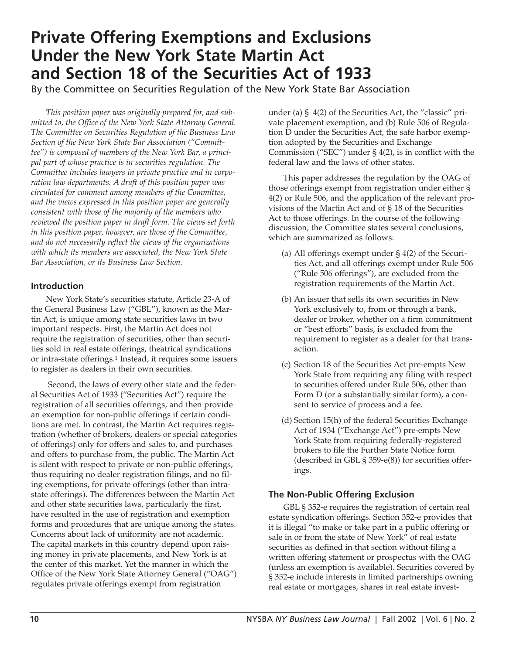# **Private Offering Exemptions and Exclusions Under the New York State Martin Act and Section 18 of the Securities Act of 1933**

By the Committee on Securities Regulation of the New York State Bar Association

*This position paper was originally prepared for, and submitted to, the Office of the New York State Attorney General. The Committee on Securities Regulation of the Business Law Section of the New York State Bar Association ("Committee") is composed of members of the New York Bar, a principal part of whose practice is in securities regulation. The Committee includes lawyers in private practice and in corporation law departments. A draft of this position paper was circulated for comment among members of the Committee, and the views expressed in this position paper are generally consistent with those of the majority of the members who reviewed the position paper in draft form. The views set forth in this position paper, however, are those of the Committee, and do not necessarily reflect the views of the organizations with which its members are associated, the New York State Bar Association, or its Business Law Section.*

## **Introduction**

New York State's securities statute, Article 23-A of the General Business Law ("GBL"), known as the Martin Act, is unique among state securities laws in two important respects. First, the Martin Act does not require the registration of securities, other than securities sold in real estate offerings, theatrical syndications or intra-state offerings.1 Instead, it requires some issuers to register as dealers in their own securities.

Second, the laws of every other state and the federal Securities Act of 1933 ("Securities Act") require the registration of all securities offerings, and then provide an exemption for non-public offerings if certain conditions are met. In contrast, the Martin Act requires registration (whether of brokers, dealers or special categories of offerings) only for offers and sales to, and purchases and offers to purchase from, the public. The Martin Act is silent with respect to private or non-public offerings, thus requiring no dealer registration filings, and no filing exemptions, for private offerings (other than intrastate offerings). The differences between the Martin Act and other state securities laws, particularly the first, have resulted in the use of registration and exemption forms and procedures that are unique among the states. Concerns about lack of uniformity are not academic. The capital markets in this country depend upon raising money in private placements, and New York is at the center of this market. Yet the manner in which the Office of the New York State Attorney General ("OAG") regulates private offerings exempt from registration

under (a) § 4(2) of the Securities Act, the "classic" private placement exemption, and (b) Rule 506 of Regulation D under the Securities Act, the safe harbor exemption adopted by the Securities and Exchange Commission ("SEC") under § 4(2), is in conflict with the federal law and the laws of other states.

This paper addresses the regulation by the OAG of those offerings exempt from registration under either § 4(2) or Rule 506, and the application of the relevant provisions of the Martin Act and of § 18 of the Securities Act to those offerings. In the course of the following discussion, the Committee states several conclusions, which are summarized as follows:

- (a) All offerings exempt under § 4(2) of the Securities Act, and all offerings exempt under Rule 506 ("Rule 506 offerings"), are excluded from the registration requirements of the Martin Act.
- (b) An issuer that sells its own securities in New York exclusively to, from or through a bank, dealer or broker, whether on a firm commitment or "best efforts" basis, is excluded from the requirement to register as a dealer for that transaction.
- (c) Section 18 of the Securities Act pre-empts New York State from requiring any filing with respect to securities offered under Rule 506, other than Form D (or a substantially similar form), a consent to service of process and a fee.
- (d) Section 15(h) of the federal Securities Exchange Act of 1934 ("Exchange Act") pre-empts New York State from requiring federally-registered brokers to file the Further State Notice form (described in GBL § 359-e(8)) for securities offerings.

## **The Non-Public Offering Exclusion**

GBL § 352-e requires the registration of certain real estate syndication offerings. Section 352-e provides that it is illegal "to make or take part in a public offering or sale in or from the state of New York" of real estate securities as defined in that section without filing a written offering statement or prospectus with the OAG (unless an exemption is available). Securities covered by § 352-e include interests in limited partnerships owning real estate or mortgages, shares in real estate invest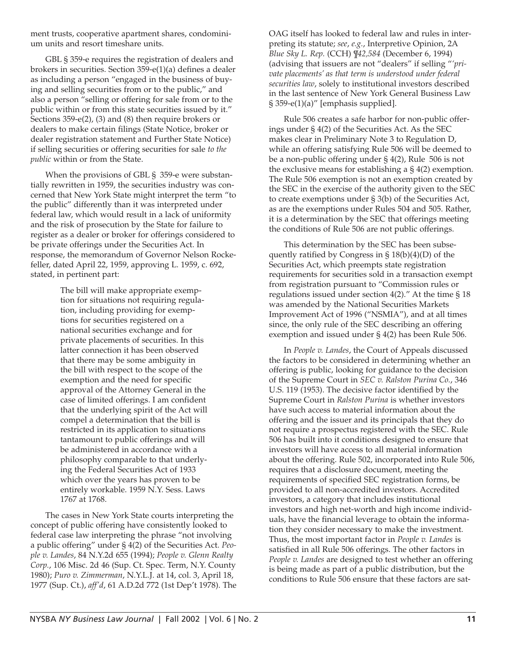ment trusts, cooperative apartment shares, condominium units and resort timeshare units.

GBL § 359-e requires the registration of dealers and brokers in securities. Section 359-e(1)(a) defines a dealer as including a person "engaged in the business of buying and selling securities from or to the public," and also a person "selling or offering for sale from or to the public within or from this state securities issued by it." Sections 359-e(2), (3) and (8) then require brokers or dealers to make certain filings (State Notice, broker or dealer registration statement and Further State Notice) if selling securities or offering securities for sale *to the public* within or from the State.

When the provisions of GBL § 359-e were substantially rewritten in 1959, the securities industry was concerned that New York State might interpret the term "to the public" differently than it was interpreted under federal law, which would result in a lack of uniformity and the risk of prosecution by the State for failure to register as a dealer or broker for offerings considered to be private offerings under the Securities Act. In response, the memorandum of Governor Nelson Rockefeller, dated April 22, 1959, approving L. 1959, c. 692, stated, in pertinent part:

> The bill will make appropriate exemption for situations not requiring regulation, including providing for exemptions for securities registered on a national securities exchange and for private placements of securities. In this latter connection it has been observed that there may be some ambiguity in the bill with respect to the scope of the exemption and the need for specific approval of the Attorney General in the case of limited offerings. I am confident that the underlying spirit of the Act will compel a determination that the bill is restricted in its application to situations tantamount to public offerings and will be administered in accordance with a philosophy comparable to that underlying the Federal Securities Act of 1933 which over the years has proven to be entirely workable. 1959 N.Y. Sess. Laws 1767 at 1768.

The cases in New York State courts interpreting the concept of public offering have consistently looked to federal case law interpreting the phrase "not involving a public offering" under § 4(2) of the Securities Act. *People v. Landes*, 84 N.Y.2d 655 (1994); *People v. Glenn Realty Corp.*, 106 Misc. 2d 46 (Sup. Ct. Spec. Term, N.Y. County 1980); *Puro v. Zimmerman*, N.Y.L.J. at 14, col. 3, April 18, 1977 (Sup. Ct.), *aff'd*, 61 A.D.2d 772 (1st Dep't 1978). The OAG itself has looked to federal law and rules in interpreting its statute; *see*, *e.g.*, Interpretive Opinion, 2A *Blue Sky L. Rep.* (CCH) *¶42,584* (December 6, 1994) (advising that issuers are not "dealers" if selling "*'private placements' as that term is understood under federal securities law*, solely to institutional investors described in the last sentence of New York General Business Law § 359-e(1)(a)" [emphasis supplied].

Rule 506 creates a safe harbor for non-public offerings under § 4(2) of the Securities Act. As the SEC makes clear in Preliminary Note 3 to Regulation D, while an offering satisfying Rule 506 will be deemed to be a non-public offering under § 4(2), Rule 506 is not the exclusive means for establishing a § 4(2) exemption. The Rule 506 exemption is not an exemption created by the SEC in the exercise of the authority given to the SEC to create exemptions under § 3(b) of the Securities Act, as are the exemptions under Rules 504 and 505. Rather, it is a determination by the SEC that offerings meeting the conditions of Rule 506 are not public offerings.

This determination by the SEC has been subsequently ratified by Congress in  $\S 18(b)(4)(D)$  of the Securities Act, which preempts state registration requirements for securities sold in a transaction exempt from registration pursuant to "Commission rules or regulations issued under section 4(2)." At the time § 18 was amended by the National Securities Markets Improvement Act of 1996 ("NSMIA"), and at all times since, the only rule of the SEC describing an offering exemption and issued under § 4(2) has been Rule 506.

In *People v. Landes*, the Court of Appeals discussed the factors to be considered in determining whether an offering is public, looking for guidance to the decision of the Supreme Court in *SEC v. Ralston Purina Co.*, 346 U.S. 119 (1953). The decisive factor identified by the Supreme Court in *Ralston Purina* is whether investors have such access to material information about the offering and the issuer and its principals that they do not require a prospectus registered with the SEC. Rule 506 has built into it conditions designed to ensure that investors will have access to all material information about the offering. Rule 502, incorporated into Rule 506, requires that a disclosure document, meeting the requirements of specified SEC registration forms, be provided to all non-accredited investors. Accredited investors, a category that includes institutional investors and high net-worth and high income individuals, have the financial leverage to obtain the information they consider necessary to make the investment. Thus, the most important factor in *People v. Landes* is satisfied in all Rule 506 offerings. The other factors in *People v. Landes* are designed to test whether an offering is being made as part of a public distribution, but the conditions to Rule 506 ensure that these factors are sat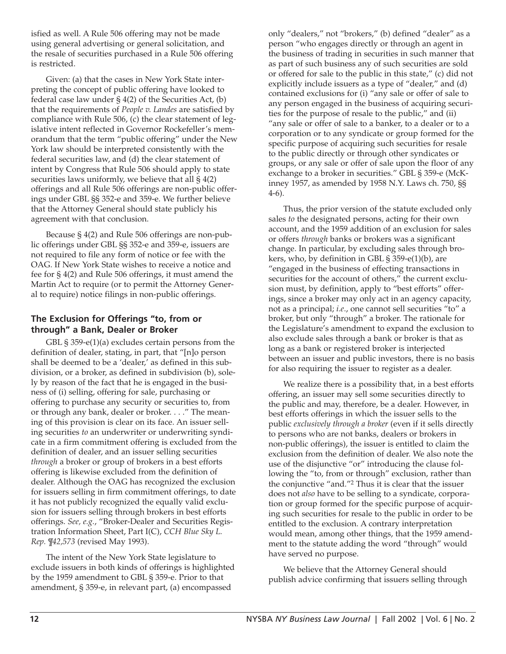isfied as well. A Rule 506 offering may not be made using general advertising or general solicitation, and the resale of securities purchased in a Rule 506 offering is restricted.

Given: (a) that the cases in New York State interpreting the concept of public offering have looked to federal case law under  $\S$  4(2) of the Securities Act, (b) that the requirements of *People v. Landes* are satisfied by compliance with Rule 506, (c) the clear statement of legislative intent reflected in Governor Rockefeller's memorandum that the term "public offering" under the New York law should be interpreted consistently with the federal securities law, and (d) the clear statement of intent by Congress that Rule 506 should apply to state securities laws uniformly, we believe that all  $\S$  4(2) offerings and all Rule 506 offerings are non-public offerings under GBL §§ 352-e and 359-e. We further believe that the Attorney General should state publicly his agreement with that conclusion.

Because § 4(2) and Rule 506 offerings are non-public offerings under GBL §§ 352-e and 359-e, issuers are not required to file any form of notice or fee with the OAG. If New York State wishes to receive a notice and fee for § 4(2) and Rule 506 offerings, it must amend the Martin Act to require (or to permit the Attorney General to require) notice filings in non-public offerings.

## **The Exclusion for Offerings "to, from or through" a Bank, Dealer or Broker**

GBL § 359-e(1)(a) excludes certain persons from the definition of dealer, stating, in part, that "[n]o person shall be deemed to be a 'dealer,' as defined in this subdivision, or a broker, as defined in subdivision (b), solely by reason of the fact that he is engaged in the business of (i) selling, offering for sale, purchasing or offering to purchase any security or securities to, from or through any bank, dealer or broker. . . ." The meaning of this provision is clear on its face. An issuer selling securities *to* an underwriter or underwriting syndicate in a firm commitment offering is excluded from the definition of dealer, and an issuer selling securities *through* a broker or group of brokers in a best efforts offering is likewise excluded from the definition of dealer. Although the OAG has recognized the exclusion for issuers selling in firm commitment offerings, to date it has not publicly recognized the equally valid exclusion for issuers selling through brokers in best efforts offerings. *See, e.g.*, "Broker-Dealer and Securities Registration Information Sheet, Part I(C), *CCH Blue Sky L. Rep. ¶42,573* (revised May 1993).

The intent of the New York State legislature to exclude issuers in both kinds of offerings is highlighted by the 1959 amendment to GBL § 359-e. Prior to that amendment, § 359-e, in relevant part, (a) encompassed

only "dealers," not "brokers," (b) defined "dealer" as a person "who engages directly or through an agent in the business of trading in securities in such manner that as part of such business any of such securities are sold or offered for sale to the public in this state," (c) did not explicitly include issuers as a type of "dealer," and (d) contained exclusions for (i) "any sale or offer of sale to any person engaged in the business of acquiring securities for the purpose of resale to the public," and (ii) "any sale or offer of sale to a banker, to a dealer or to a corporation or to any syndicate or group formed for the specific purpose of acquiring such securities for resale to the public directly or through other syndicates or groups, or any sale or offer of sale upon the floor of any exchange to a broker in securities." GBL § 359-e (McKinney 1957, as amended by 1958 N.Y. Laws ch. 750, §§ 4-6).

Thus, the prior version of the statute excluded only sales *to* the designated persons, acting for their own account, and the 1959 addition of an exclusion for sales or offers *through* banks or brokers was a significant change. In particular, by excluding sales through brokers, who, by definition in GBL  $\S$  359-e(1)(b), are "engaged in the business of effecting transactions in securities for the account of others," the current exclusion must, by definition, apply to "best efforts" offerings, since a broker may only act in an agency capacity, not as a principal; *i.e*., one cannot sell securities "to" a broker, but only "through" a broker. The rationale for the Legislature's amendment to expand the exclusion to also exclude sales through a bank or broker is that as long as a bank or registered broker is interjected between an issuer and public investors, there is no basis for also requiring the issuer to register as a dealer.

We realize there is a possibility that, in a best efforts offering, an issuer may sell some securities directly to the public and may, therefore, be a dealer. However, in best efforts offerings in which the issuer sells to the public *exclusively through a broker* (even if it sells directly to persons who are not banks, dealers or brokers in non-public offerings), the issuer is entitled to claim the exclusion from the definition of dealer. We also note the use of the disjunctive "or" introducing the clause following the "to, from or through" exclusion, rather than the conjunctive "and."2 Thus it is clear that the issuer does not *also* have to be selling to a syndicate, corporation or group formed for the specific purpose of acquiring such securities for resale to the public in order to be entitled to the exclusion. A contrary interpretation would mean, among other things, that the 1959 amendment to the statute adding the word "through" would have served no purpose.

We believe that the Attorney General should publish advice confirming that issuers selling through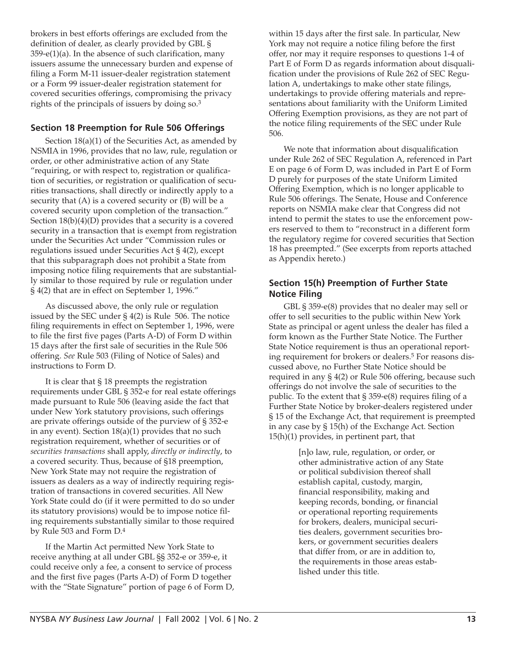brokers in best efforts offerings are excluded from the definition of dealer, as clearly provided by GBL §  $359-e(1)(a)$ . In the absence of such clarification, many issuers assume the unnecessary burden and expense of filing a Form M-11 issuer-dealer registration statement or a Form 99 issuer-dealer registration statement for covered securities offerings, compromising the privacy rights of the principals of issuers by doing so.3

## **Section 18 Preemption for Rule 506 Offerings**

Section 18(a)(1) of the Securities Act, as amended by NSMIA in 1996, provides that no law, rule, regulation or order, or other administrative action of any State "requiring, or with respect to, registration or qualification of securities, or registration or qualification of securities transactions, shall directly or indirectly apply to a security that (A) is a covered security or (B) will be a covered security upon completion of the transaction." Section 18(b)(4)(D) provides that a security is a covered security in a transaction that is exempt from registration under the Securities Act under "Commission rules or regulations issued under Securities Act § 4(2), except that this subparagraph does not prohibit a State from imposing notice filing requirements that are substantially similar to those required by rule or regulation under § 4(2) that are in effect on September 1, 1996."

As discussed above, the only rule or regulation issued by the SEC under § 4(2) is Rule 506. The notice filing requirements in effect on September 1, 1996, were to file the first five pages (Parts A-D) of Form D within 15 days after the first sale of securities in the Rule 506 offering. *See* Rule 503 (Filing of Notice of Sales) and instructions to Form D.

It is clear that § 18 preempts the registration requirements under GBL § 352-e for real estate offerings made pursuant to Rule 506 (leaving aside the fact that under New York statutory provisions, such offerings are private offerings outside of the purview of § 352-e in any event). Section 18(a)(1) provides that no such registration requirement, whether of securities or of *securities transactions* shall apply, *directly or indirectly*, to a covered security. Thus, because of §18 preemption, New York State may not require the registration of issuers as dealers as a way of indirectly requiring registration of transactions in covered securities. All New York State could do (if it were permitted to do so under its statutory provisions) would be to impose notice filing requirements substantially similar to those required by Rule 503 and Form D.4

If the Martin Act permitted New York State to receive anything at all under GBL §§ 352-e or 359-e, it could receive only a fee, a consent to service of process and the first five pages (Parts A-D) of Form D together with the "State Signature" portion of page 6 of Form D,

within 15 days after the first sale. In particular, New York may not require a notice filing before the first offer, nor may it require responses to questions 1-4 of Part E of Form D as regards information about disqualification under the provisions of Rule 262 of SEC Regulation A, undertakings to make other state filings, undertakings to provide offering materials and representations about familiarity with the Uniform Limited Offering Exemption provisions, as they are not part of the notice filing requirements of the SEC under Rule 506.

We note that information about disqualification under Rule 262 of SEC Regulation A, referenced in Part E on page 6 of Form D, was included in Part E of Form D purely for purposes of the state Uniform Limited Offering Exemption, which is no longer applicable to Rule 506 offerings. The Senate, House and Conference reports on NSMIA make clear that Congress did not intend to permit the states to use the enforcement powers reserved to them to "reconstruct in a different form the regulatory regime for covered securities that Section 18 has preempted." (See excerpts from reports attached as Appendix hereto.)

## **Section 15(h) Preemption of Further State Notice Filing**

GBL § 359-e(8) provides that no dealer may sell or offer to sell securities to the public within New York State as principal or agent unless the dealer has filed a form known as the Further State Notice. The Further State Notice requirement is thus an operational reporting requirement for brokers or dealers.<sup>5</sup> For reasons discussed above, no Further State Notice should be required in any § 4(2) or Rule 506 offering, because such offerings do not involve the sale of securities to the public. To the extent that § 359-e(8) requires filing of a Further State Notice by broker-dealers registered under § 15 of the Exchange Act, that requirement is preempted in any case by § 15(h) of the Exchange Act. Section 15(h)(1) provides, in pertinent part, that

> [n]o law, rule, regulation, or order, or other administrative action of any State or political subdivision thereof shall establish capital, custody, margin, financial responsibility, making and keeping records, bonding, or financial or operational reporting requirements for brokers, dealers, municipal securities dealers, government securities brokers, or government securities dealers that differ from, or are in addition to, the requirements in those areas established under this title.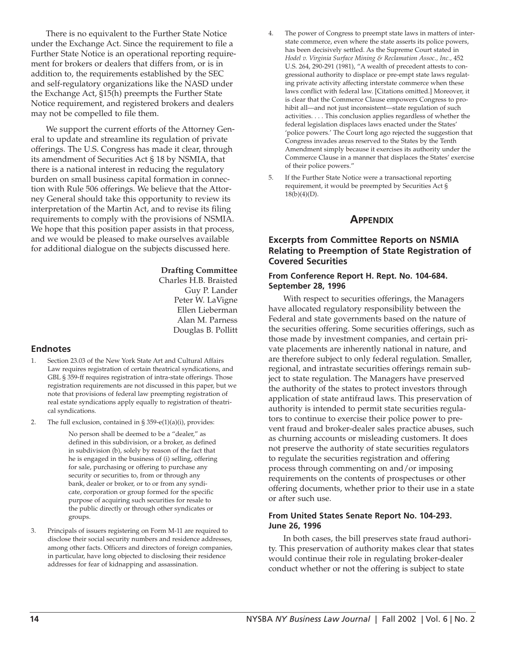There is no equivalent to the Further State Notice under the Exchange Act. Since the requirement to file a Further State Notice is an operational reporting requirement for brokers or dealers that differs from, or is in addition to, the requirements established by the SEC and self-regulatory organizations like the NASD under the Exchange Act, §15(h) preempts the Further State Notice requirement, and registered brokers and dealers may not be compelled to file them.

We support the current efforts of the Attorney General to update and streamline its regulation of private offerings. The U.S. Congress has made it clear, through its amendment of Securities Act § 18 by NSMIA, that there is a national interest in reducing the regulatory burden on small business capital formation in connection with Rule 506 offerings. We believe that the Attorney General should take this opportunity to review its interpretation of the Martin Act, and to revise its filing requirements to comply with the provisions of NSMIA. We hope that this position paper assists in that process, and we would be pleased to make ourselves available for additional dialogue on the subjects discussed here.

#### **Drafting Committee**

Charles H.B. Braisted Guy P. Lander Peter W. LaVigne Ellen Lieberman Alan M. Parness Douglas B. Pollitt

#### **Endnotes**

- 1. Section 23.03 of the New York State Art and Cultural Affairs Law requires registration of certain theatrical syndications, and GBL § 359-ff requires registration of intra-state offerings. Those registration requirements are not discussed in this paper, but we note that provisions of federal law preempting registration of real estate syndications apply equally to registration of theatrical syndications.
- 2. The full exclusion, contained in § 359-e(1)(a)(i), provides:

No person shall be deemed to be a "dealer," as defined in this subdivision, or a broker, as defined in subdivision (b), solely by reason of the fact that he is engaged in the business of (i) selling, offering for sale, purchasing or offering to purchase any security or securities to, from or through any bank, dealer or broker, or to or from any syndicate, corporation or group formed for the specific purpose of acquiring such securities for resale to the public directly or through other syndicates or groups.

3. Principals of issuers registering on Form M-11 are required to disclose their social security numbers and residence addresses, among other facts. Officers and directors of foreign companies, in particular, have long objected to disclosing their residence addresses for fear of kidnapping and assassination.

- 4. The power of Congress to preempt state laws in matters of interstate commerce, even where the state asserts its police powers, has been decisively settled. As the Supreme Court stated in *Hodel v. Virginia Surface Mining & Reclamation Assoc., Inc.*, 452 U.S. 264, 290-291 (1981), "A wealth of precedent attests to congressional authority to displace or pre-empt state laws regulating private activity affecting interstate commerce when these laws conflict with federal law. [Citations omitted.] Moreover, it is clear that the Commerce Clause empowers Congress to prohibit all—and not just inconsistent—state regulation of such activities. . . . This conclusion applies regardless of whether the federal legislation displaces laws enacted under the States' 'police powers.' The Court long ago rejected the suggestion that Congress invades areas reserved to the States by the Tenth Amendment simply because it exercises its authority under the Commerce Clause in a manner that displaces the States' exercise of their police powers."
- 5. If the Further State Notice were a transactional reporting requirement, it would be preempted by Securities Act § 18(b)(4)(D).

#### **APPENDIX**

### **Excerpts from Committee Reports on NSMIA Relating to Preemption of State Registration of Covered Securities**

#### **From Conference Report H. Rept. No. 104-684. September 28, 1996**

With respect to securities offerings, the Managers have allocated regulatory responsibility between the Federal and state governments based on the nature of the securities offering. Some securities offerings, such as those made by investment companies, and certain private placements are inherently national in nature, and are therefore subject to only federal regulation. Smaller, regional, and intrastate securities offerings remain subject to state regulation. The Managers have preserved the authority of the states to protect investors through application of state antifraud laws. This preservation of authority is intended to permit state securities regulators to continue to exercise their police power to prevent fraud and broker-dealer sales practice abuses, such as churning accounts or misleading customers. It does not preserve the authority of state securities regulators to regulate the securities registration and offering process through commenting on and/or imposing requirements on the contents of prospectuses or other offering documents, whether prior to their use in a state or after such use.

#### **From United States Senate Report No. 104-293. June 26, 1996**

In both cases, the bill preserves state fraud authority. This preservation of authority makes clear that states would continue their role in regulating broker-dealer conduct whether or not the offering is subject to state